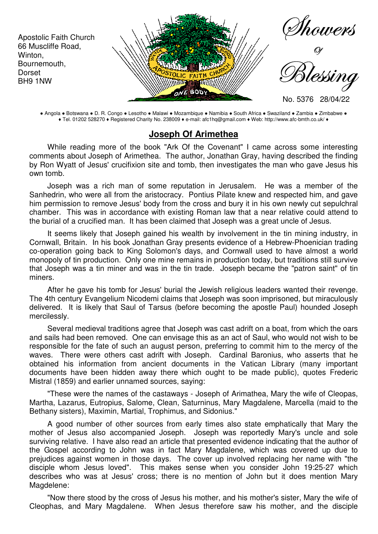

● Angola ● Botswana ● D. R. Congo ● Lesotho ● Malawi ● Mozambique ● Namibia ● South Africa ● Swaziland ● Zambia ● Zimbabwe ● ♦ Tel. 01202 528270 ♦ Registered Charity No. 238009 ♦ e-mail: afc1hq@gmail.com ♦ Web: http://www.afc-bmth.co.uk/ ♦

## **Joseph Of Arimethea**

While reading more of the book "Ark Of the Covenant" I came across some interesting comments about Joseph of Arimethea. The author, Jonathan Gray, having described the finding by Ron Wyatt of Jesus' crucifixion site and tomb, then investigates the man who gave Jesus his own tomb.

Joseph was a rich man of some reputation in Jerusalem. He was a member of the Sanhedrin, who were all from the aristocracy. Pontius Pilate knew and respected him, and gave him permission to remove Jesus' body from the cross and bury it in his own newly cut sepulchral chamber. This was in accordance with existing Roman law that a near relative could attend to the burial of a crucified man. It has been claimed that Joseph was a great uncle of Jesus.

It seems likely that Joseph gained his wealth by involvement in the tin mining industry, in Cornwall, Britain. In his book Jonathan Gray presents evidence of a Hebrew-Phoenician trading co-operation going back to King Solomon's days, and Cornwall used to have almost a world monopoly of tin production. Only one mine remains in production today, but traditions still survive that Joseph was a tin miner and was in the tin trade. Joseph became the "patron saint" of tin miners.

After he gave his tomb for Jesus' burial the Jewish religious leaders wanted their revenge. The 4th century Evangelium Nicodemi claims that Joseph was soon imprisoned, but miraculously delivered. It is likely that Saul of Tarsus (before becoming the apostle Paul) hounded Joseph mercilessly.

Several medieval traditions agree that Joseph was cast adrift on a boat, from which the oars and sails had been removed. One can envisage this as an act of Saul, who would not wish to be responsible for the fate of such an august person, preferring to commit him to the mercy of the waves. There were others cast adrift with Joseph. Cardinal Baronius, who asserts that he obtained his information from ancient documents in the Vatican Library (many important documents have been hidden away there which ought to be made public), quotes Frederic Mistral (1859) and earlier unnamed sources, saying:

"These were the names of the castaways - Joseph of Arimathea, Mary the wife of Cleopas, Martha, Lazarus, Eutropius, Salome, Clean, Saturninus, Mary Magdalene, Marcella (maid to the Bethany sisters), Maximin, Martial, Trophimus, and Sidonius."

A good number of other sources from early times also state emphatically that Mary the mother of Jesus also accompanied Joseph. Joseph was reportedly Mary's uncle and sole surviving relative. I have also read an article that presented evidence indicating that the author of the Gospel according to John was in fact Mary Magdalene, which was covered up due to prejudices against women in those days. The cover up involved replacing her name with "the disciple whom Jesus loved". This makes sense when you consider John 19:25-27 which describes who was at Jesus' cross; there is no mention of John but it does mention Mary Magdelene:

"Now there stood by the cross of Jesus his mother, and his mother's sister, Mary the wife of Cleophas, and Mary Magdalene. When Jesus therefore saw his mother, and the disciple